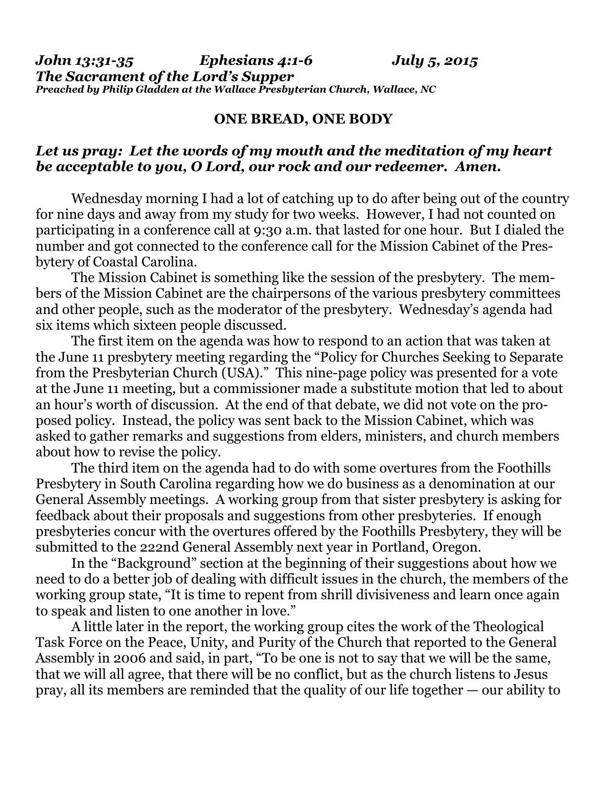## **ONE BREAD, ONE BODY**

## *Let us pray: Let the words of my mouth and the meditation of my heart be acceptable to you, O Lord, our rock and our redeemer. Amen.*

Wednesday morning I had a lot of catching up to do after being out of the country for nine days and away from my study for two weeks. However, I had not counted on participating in a conference call at 9:30 a.m. that lasted for one hour. But I dialed the number and got connected to the conference call for the Mission Cabinet of the Presbytery of Coastal Carolina.

 The Mission Cabinet is something like the session of the presbytery. The members of the Mission Cabinet are the chairpersons of the various presbytery committees and other people, such as the moderator of the presbytery. Wednesday's agenda had six items which sixteen people discussed.

 The first item on the agenda was how to respond to an action that was taken at the June 11 presbytery meeting regarding the "Policy for Churches Seeking to Separate from the Presbyterian Church (USA)." This nine-page policy was presented for a vote at the June 11 meeting, but a commissioner made a substitute motion that led to about an hour's worth of discussion. At the end of that debate, we did not vote on the proposed policy. Instead, the policy was sent back to the Mission Cabinet, which was asked to gather remarks and suggestions from elders, ministers, and church members about how to revise the policy.

 The third item on the agenda had to do with some overtures from the Foothills Presbytery in South Carolina regarding how we do business as a denomination at our General Assembly meetings. A working group from that sister presbytery is asking for feedback about their proposals and suggestions from other presbyteries. If enough presbyteries concur with the overtures offered by the Foothills Presbytery, they will be submitted to the 222nd General Assembly next year in Portland, Oregon.

 In the "Background" section at the beginning of their suggestions about how we need to do a better job of dealing with difficult issues in the church, the members of the working group state, "It is time to repent from shrill divisiveness and learn once again to speak and listen to one another in love."

 A little later in the report, the working group cites the work of the Theological Task Force on the Peace, Unity, and Purity of the Church that reported to the General Assembly in 2006 and said, in part, "To be one is not to say that we will be the same, that we will all agree, that there will be no conflict, but as the church listens to Jesus pray, all its members are reminded that the quality of our life together — our ability to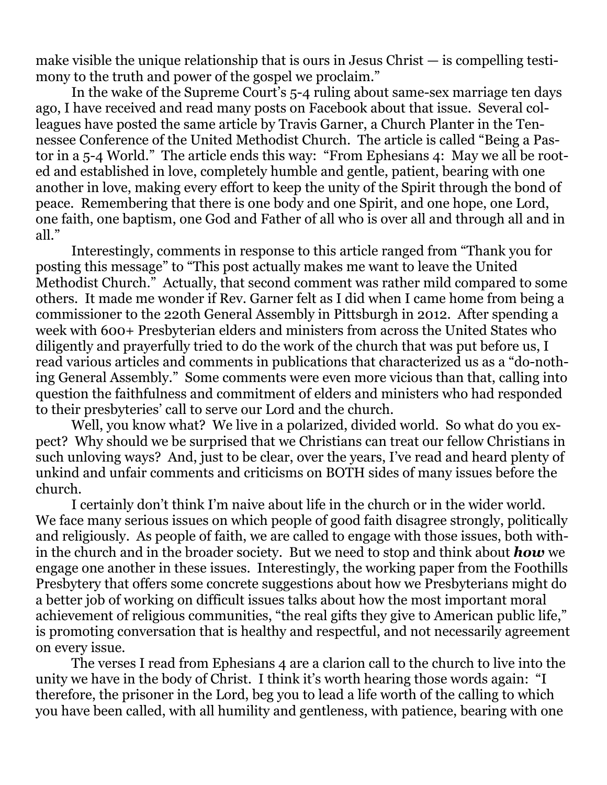make visible the unique relationship that is ours in Jesus Christ — is compelling testimony to the truth and power of the gospel we proclaim."

 In the wake of the Supreme Court's 5-4 ruling about same-sex marriage ten days ago, I have received and read many posts on Facebook about that issue. Several colleagues have posted the same article by Travis Garner, a Church Planter in the Tennessee Conference of the United Methodist Church. The article is called "Being a Pastor in a 5-4 World." The article ends this way: "From Ephesians 4: May we all be rooted and established in love, completely humble and gentle, patient, bearing with one another in love, making every effort to keep the unity of the Spirit through the bond of peace. Remembering that there is one body and one Spirit, and one hope, one Lord, one faith, one baptism, one God and Father of all who is over all and through all and in all."

 Interestingly, comments in response to this article ranged from "Thank you for posting this message" to "This post actually makes me want to leave the United Methodist Church." Actually, that second comment was rather mild compared to some others. It made me wonder if Rev. Garner felt as I did when I came home from being a commissioner to the 220th General Assembly in Pittsburgh in 2012. After spending a week with 600+ Presbyterian elders and ministers from across the United States who diligently and prayerfully tried to do the work of the church that was put before us, I read various articles and comments in publications that characterized us as a "do-nothing General Assembly." Some comments were even more vicious than that, calling into question the faithfulness and commitment of elders and ministers who had responded to their presbyteries' call to serve our Lord and the church.

Well, you know what? We live in a polarized, divided world. So what do you expect? Why should we be surprised that we Christians can treat our fellow Christians in such unloving ways? And, just to be clear, over the years, I've read and heard plenty of unkind and unfair comments and criticisms on BOTH sides of many issues before the church.

 I certainly don't think I'm naive about life in the church or in the wider world. We face many serious issues on which people of good faith disagree strongly, politically and religiously. As people of faith, we are called to engage with those issues, both within the church and in the broader society. But we need to stop and think about *how* we engage one another in these issues. Interestingly, the working paper from the Foothills Presbytery that offers some concrete suggestions about how we Presbyterians might do a better job of working on difficult issues talks about how the most important moral achievement of religious communities, "the real gifts they give to American public life," is promoting conversation that is healthy and respectful, and not necessarily agreement on every issue.

 The verses I read from Ephesians 4 are a clarion call to the church to live into the unity we have in the body of Christ. I think it's worth hearing those words again: "I therefore, the prisoner in the Lord, beg you to lead a life worth of the calling to which you have been called, with all humility and gentleness, with patience, bearing with one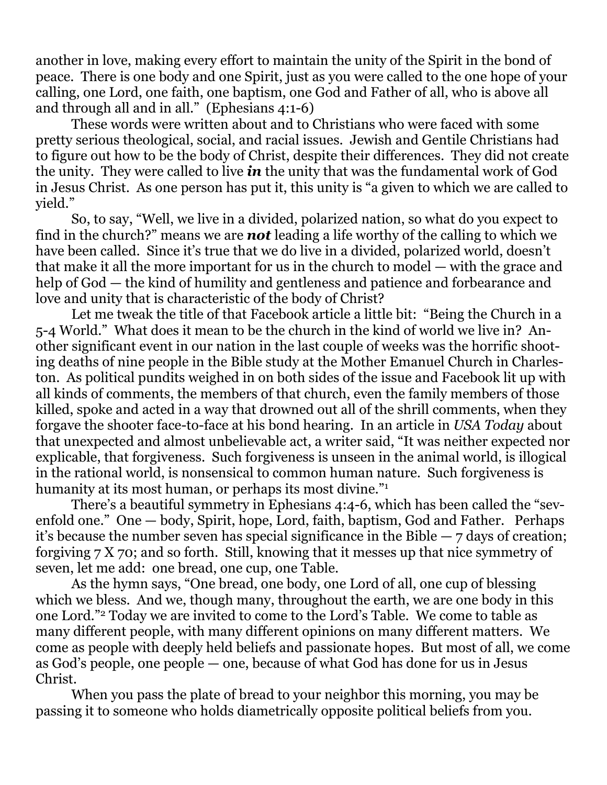another in love, making every effort to maintain the unity of the Spirit in the bond of peace. There is one body and one Spirit, just as you were called to the one hope of your calling, one Lord, one faith, one baptism, one God and Father of all, who is above all and through all and in all." (Ephesians 4:1-6)

 These words were written about and to Christians who were faced with some pretty serious theological, social, and racial issues. Jewish and Gentile Christians had to figure out how to be the body of Christ, despite their differences. They did not create the unity. They were called to live *in* the unity that was the fundamental work of God in Jesus Christ. As one person has put it, this unity is "a given to which we are called to yield."

 So, to say, "Well, we live in a divided, polarized nation, so what do you expect to find in the church?" means we are *not* leading a life worthy of the calling to which we have been called. Since it's true that we do live in a divided, polarized world, doesn't that make it all the more important for us in the church to model — with the grace and help of God — the kind of humility and gentleness and patience and forbearance and love and unity that is characteristic of the body of Christ?

 Let me tweak the title of that Facebook article a little bit: "Being the Church in a 5-4 World." What does it mean to be the church in the kind of world we live in? Another significant event in our nation in the last couple of weeks was the horrific shooting deaths of nine people in the Bible study at the Mother Emanuel Church in Charleston. As political pundits weighed in on both sides of the issue and Facebook lit up with all kinds of comments, the members of that church, even the family members of those killed, spoke and acted in a way that drowned out all of the shrill comments, when they forgave the shooter face-to-face at his bond hearing. In an article in *USA Today* about that unexpected and almost unbelievable act, a writer said, "It was neither expected nor explicable, that forgiveness. Such forgiveness is unseen in the animal world, is illogical in the rational world, is nonsensical to common human nature. Such forgiveness is humanity at its most human, or perhaps its most divine."<sup>1</sup>

 There's a beautiful symmetry in Ephesians 4:4-6, which has been called the "sevenfold one." One — body, Spirit, hope, Lord, faith, baptism, God and Father. Perhaps it's because the number seven has special significance in the Bible — 7 days of creation; forgiving 7 X 70; and so forth. Still, knowing that it messes up that nice symmetry of seven, let me add: one bread, one cup, one Table.

 As the hymn says, "One bread, one body, one Lord of all, one cup of blessing which we bless. And we, though many, throughout the earth, we are one body in this one Lord."2 Today we are invited to come to the Lord's Table. We come to table as many different people, with many different opinions on many different matters. We come as people with deeply held beliefs and passionate hopes. But most of all, we come as God's people, one people — one, because of what God has done for us in Jesus Christ.

 When you pass the plate of bread to your neighbor this morning, you may be passing it to someone who holds diametrically opposite political beliefs from you.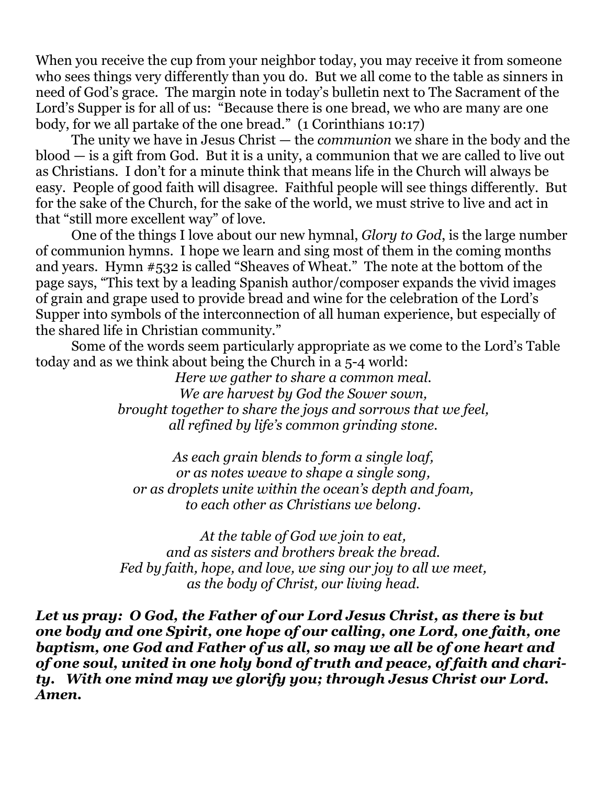When you receive the cup from your neighbor today, you may receive it from someone who sees things very differently than you do. But we all come to the table as sinners in need of God's grace. The margin note in today's bulletin next to The Sacrament of the Lord's Supper is for all of us: "Because there is one bread, we who are many are one body, for we all partake of the one bread." (1 Corinthians 10:17)

 The unity we have in Jesus Christ — the *communion* we share in the body and the blood — is a gift from God. But it is a unity, a communion that we are called to live out as Christians. I don't for a minute think that means life in the Church will always be easy. People of good faith will disagree. Faithful people will see things differently. But for the sake of the Church, for the sake of the world, we must strive to live and act in that "still more excellent way" of love.

 One of the things I love about our new hymnal, *Glory to God*, is the large number of communion hymns. I hope we learn and sing most of them in the coming months and years. Hymn #532 is called "Sheaves of Wheat." The note at the bottom of the page says, "This text by a leading Spanish author/composer expands the vivid images of grain and grape used to provide bread and wine for the celebration of the Lord's Supper into symbols of the interconnection of all human experience, but especially of the shared life in Christian community."

 Some of the words seem particularly appropriate as we come to the Lord's Table today and as we think about being the Church in a 5-4 world:

> *Here we gather to share a common meal. We are harvest by God the Sower sown, brought together to share the joys and sorrows that we feel, all refined by life's common grinding stone.*

*As each grain blends to form a single loaf, or as notes weave to shape a single song, or as droplets unite within the ocean's depth and foam, to each other as Christians we belong.* 

*At the table of God we join to eat, and as sisters and brothers break the bread. Fed by faith, hope, and love, we sing our joy to all we meet, as the body of Christ, our living head.* 

*Let us pray: O God, the Father of our Lord Jesus Christ, as there is but one body and one Spirit, one hope of our calling, one Lord, one faith, one baptism, one God and Father of us all, so may we all be of one heart and of one soul, united in one holy bond of truth and peace, of faith and charity. With one mind may we glorify you; through Jesus Christ our Lord. Amen.*